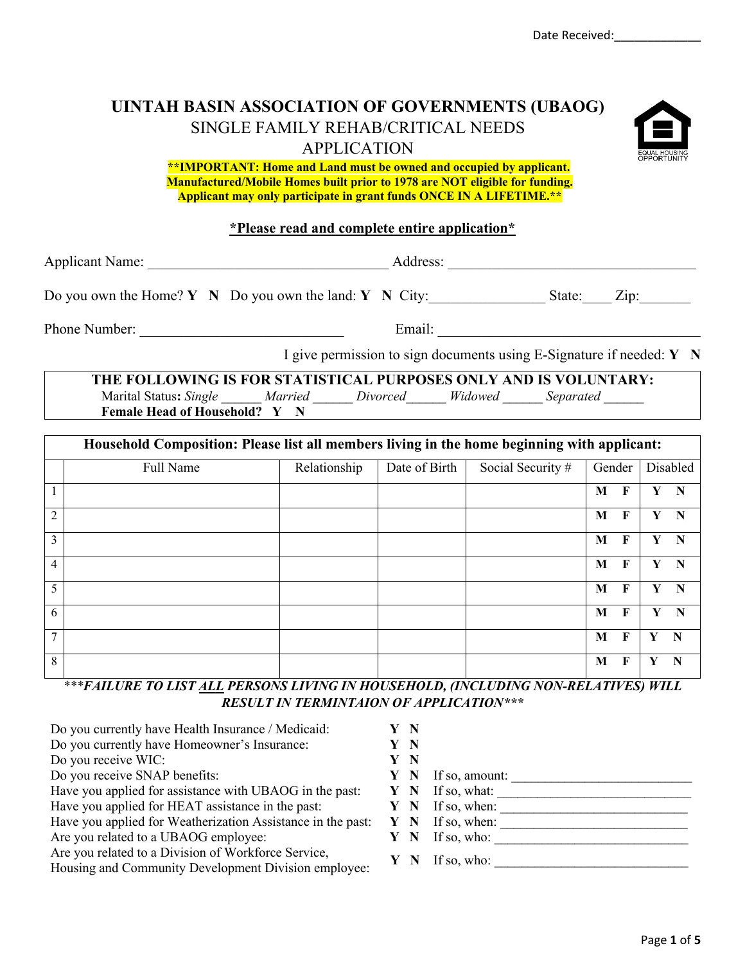# **UINTAH BASIN ASSOCIATION OF GOVERNMENTS (UBAOG)** SINGLE FAMILY REHAB/CRITICAL NEEDS APPLICATION



**\*\*IMPORTANT: Home and Land must be owned and occupied by applicant. Manufactured/Mobile Homes built prior to 1978 are NOT eligible for funding. Applicant may only participate in grant funds ONCE IN A LIFETIME.\*\***

## **\*Please read and complete entire application\***

Applicant Name: \_\_\_\_\_\_\_\_\_\_\_\_\_\_\_\_\_\_\_\_\_\_\_\_\_\_\_\_\_\_\_\_\_ Address: \_\_\_\_\_\_\_\_\_\_\_\_\_\_\_\_\_\_\_\_\_\_\_\_\_\_\_\_\_\_\_\_\_\_

Do you own the Home? **Y** N Do you own the land: **Y** N City: State: Zip:

Phone Number: \_\_\_\_\_\_\_\_\_\_\_\_\_\_\_\_\_\_\_\_\_\_\_\_\_\_\_\_ Email: \_\_\_\_\_\_\_\_\_\_\_\_\_\_\_\_\_\_\_\_\_\_\_\_\_\_\_\_\_\_\_\_\_\_\_\_

I give permission to sign documents using E-Signature if needed: **Y N**

**THE FOLLOWING IS FOR STATISTICAL PURPOSES ONLY AND IS VOLUNTARY:** Marital Status: *Single Married Divorced Widowed Separated*  **Female Head of Household? Y N**

|                | Household Composition: Please list all members living in the home beginning with applicant: |              |               |                   |        |             |   |          |  |  |
|----------------|---------------------------------------------------------------------------------------------|--------------|---------------|-------------------|--------|-------------|---|----------|--|--|
|                | Full Name                                                                                   | Relationship | Date of Birth | Social Security # | Gender |             |   | Disabled |  |  |
|                |                                                                                             |              |               |                   | M      | F           |   | N        |  |  |
| $\overline{2}$ |                                                                                             |              |               |                   | M      | $\mathbf F$ | Y | N        |  |  |
| 3              |                                                                                             |              |               |                   | M      | F           | Y | N        |  |  |
| $\overline{4}$ |                                                                                             |              |               |                   | M      | $\mathbf F$ |   | N        |  |  |
| 5              |                                                                                             |              |               |                   | M      | F           | Y | N        |  |  |
| 6              |                                                                                             |              |               |                   | M      | F           | Y | N        |  |  |
| $\tau$         |                                                                                             |              |               |                   | M      | $\mathbf F$ | Y | - N      |  |  |
| 8              |                                                                                             |              |               |                   | M      | F           |   |          |  |  |

*\*\*\*FAILURE TO LIST ALL PERSONS LIVING IN HOUSEHOLD, (INCLUDING NON-RELATIVES) WILL RESULT IN TERMINTAION OF APPLICATION\*\*\**

| Do you currently have Health Insurance / Medicaid:                                                          | - N |                |
|-------------------------------------------------------------------------------------------------------------|-----|----------------|
| Do you currently have Homeowner's Insurance:                                                                | N   |                |
| Do you receive WIC:                                                                                         | N   |                |
| Do you receive SNAP benefits:                                                                               | N   | If so, amount: |
| Have you applied for assistance with UBAOG in the past:                                                     | Y N | If so, what:   |
| Have you applied for HEAT assistance in the past:                                                           | Y N | If so, when:   |
| Have you applied for Weatherization Assistance in the past:                                                 | Y N | If so, when:   |
| Are you related to a UBAOG employee:                                                                        | N   | If so, who:    |
| Are you related to a Division of Workforce Service,<br>Housing and Community Development Division employee: |     | If so, who:    |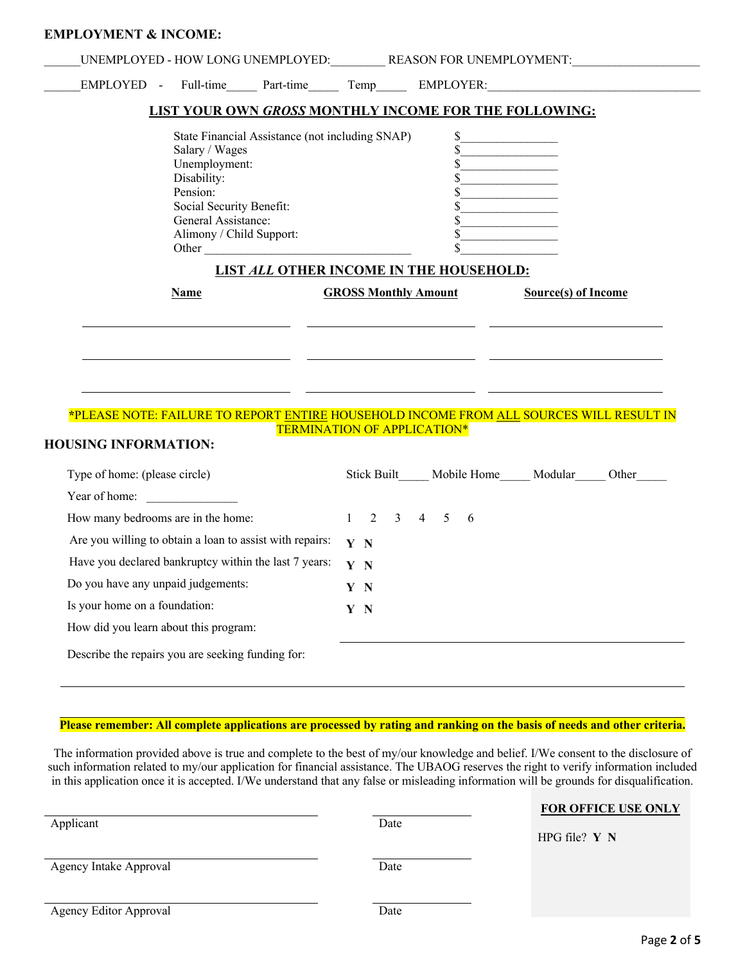| UNEMPLOYED - HOW LONG UNEMPLOYED: REASON FOR UNEMPLOYMENT:                                                        |                                    |                  |                                       |
|-------------------------------------------------------------------------------------------------------------------|------------------------------------|------------------|---------------------------------------|
| EMPLOYED - Full-time Part-time Temp EMPLOYER:                                                                     |                                    |                  |                                       |
| LIST YOUR OWN GROSS MONTHLY INCOME FOR THE FOLLOWING:                                                             |                                    |                  |                                       |
| State Financial Assistance (not including SNAP)                                                                   |                                    | \$               |                                       |
| Salary / Wages                                                                                                    |                                    |                  |                                       |
| Unemployment:<br>Disability:                                                                                      |                                    | \$               |                                       |
| Pension:                                                                                                          |                                    |                  |                                       |
| Social Security Benefit:                                                                                          |                                    | \$               |                                       |
| General Assistance:                                                                                               |                                    |                  |                                       |
| Alimony / Child Support:                                                                                          |                                    |                  |                                       |
| Other                                                                                                             |                                    | \$               |                                       |
| <b>LIST ALL OTHER INCOME IN THE HOUSEHOLD:</b>                                                                    |                                    |                  |                                       |
| Name                                                                                                              | <b>GROSS Monthly Amount</b>        |                  | <b>Source(s) of Income</b>            |
|                                                                                                                   |                                    |                  |                                       |
| *PLEASE NOTE: FAILURE TO REPORT ENTIRE HOUSEHOLD INCOME FROM ALL SOURCES WILL RESULT IN                           | <b>TERMINATION OF APPLICATION*</b> |                  |                                       |
| <b>HOUSING INFORMATION:</b><br>Type of home: (please circle)                                                      |                                    |                  | Stick Built Mobile Home Modular Other |
|                                                                                                                   |                                    |                  |                                       |
| Year of home:<br>How many bedrooms are in the home:                                                               | 2<br>$\overline{3}$<br>1           | $4 \quad 5$<br>6 |                                       |
|                                                                                                                   | Y N                                |                  |                                       |
| Are you willing to obtain a loan to assist with repairs:<br>Have you declared bankruptcy within the last 7 years: | Y N                                |                  |                                       |
|                                                                                                                   | Y N                                |                  |                                       |
| Do you have any unpaid judgements:<br>Is your home on a foundation:                                               | Y N                                |                  |                                       |
| How did you learn about this program:                                                                             |                                    |                  |                                       |

#### **Please remember: All complete applications are processed by rating and ranking on the basis of needs and other criteria.**

The information provided above is true and complete to the best of my/our knowledge and belief. I/We consent to the disclosure of such information related to my/our application for financial assistance. The UBAOG reserves the right to verify information included in this application once it is accepted. I/We understand that any false or misleading information will be grounds for disqualification.

| Applicant              | Date | FOR OFFICE USE ONLY<br>HPG file? $Y N$ |
|------------------------|------|----------------------------------------|
| Agency Intake Approval | Date |                                        |
| Agency Editor Approval | Date |                                        |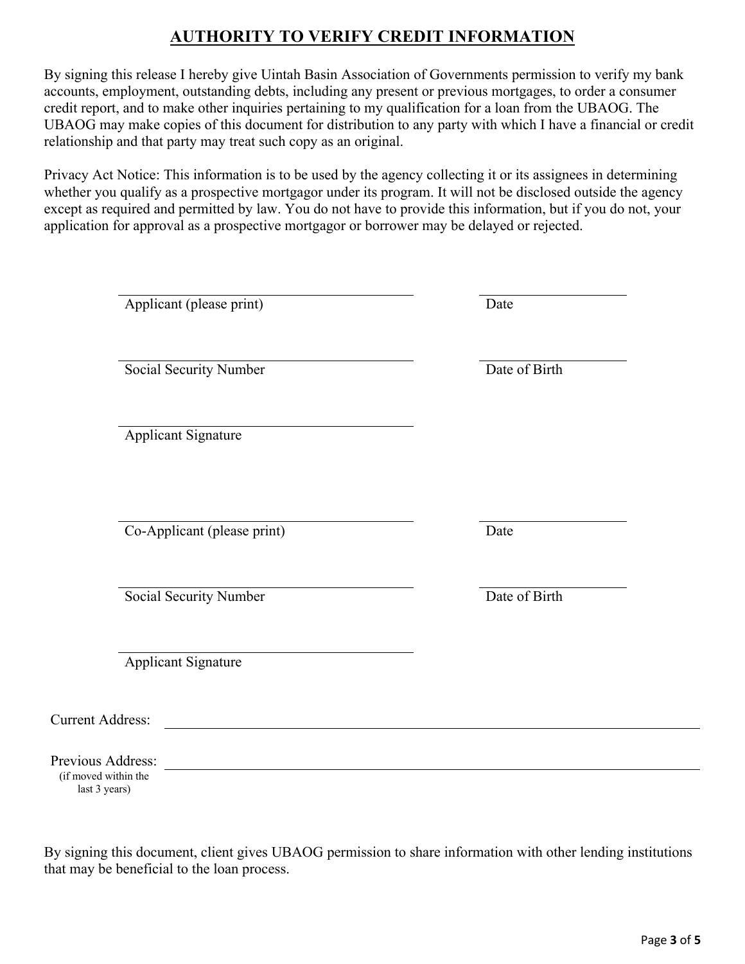# **AUTHORITY TO VERIFY CREDIT INFORMATION**

By signing this release I hereby give Uintah Basin Association of Governments permission to verify my bank accounts, employment, outstanding debts, including any present or previous mortgages, to order a consumer credit report, and to make other inquiries pertaining to my qualification for a loan from the UBAOG. The UBAOG may make copies of this document for distribution to any party with which I have a financial or credit relationship and that party may treat such copy as an original.

Privacy Act Notice: This information is to be used by the agency collecting it or its assignees in determining whether you qualify as a prospective mortgagor under its program. It will not be disclosed outside the agency except as required and permitted by law. You do not have to provide this information, but if you do not, your application for approval as a prospective mortgagor or borrower may be delayed or rejected.

|                                                            | Applicant (please print)    | Date          |
|------------------------------------------------------------|-----------------------------|---------------|
|                                                            | Social Security Number      | Date of Birth |
|                                                            | <b>Applicant Signature</b>  |               |
|                                                            | Co-Applicant (please print) | Date          |
|                                                            | Social Security Number      | Date of Birth |
|                                                            | <b>Applicant Signature</b>  |               |
| <b>Current Address:</b>                                    |                             |               |
| Previous Address:<br>(if moved within the<br>last 3 years) |                             |               |

By signing this document, client gives UBAOG permission to share information with other lending institutions that may be beneficial to the loan process.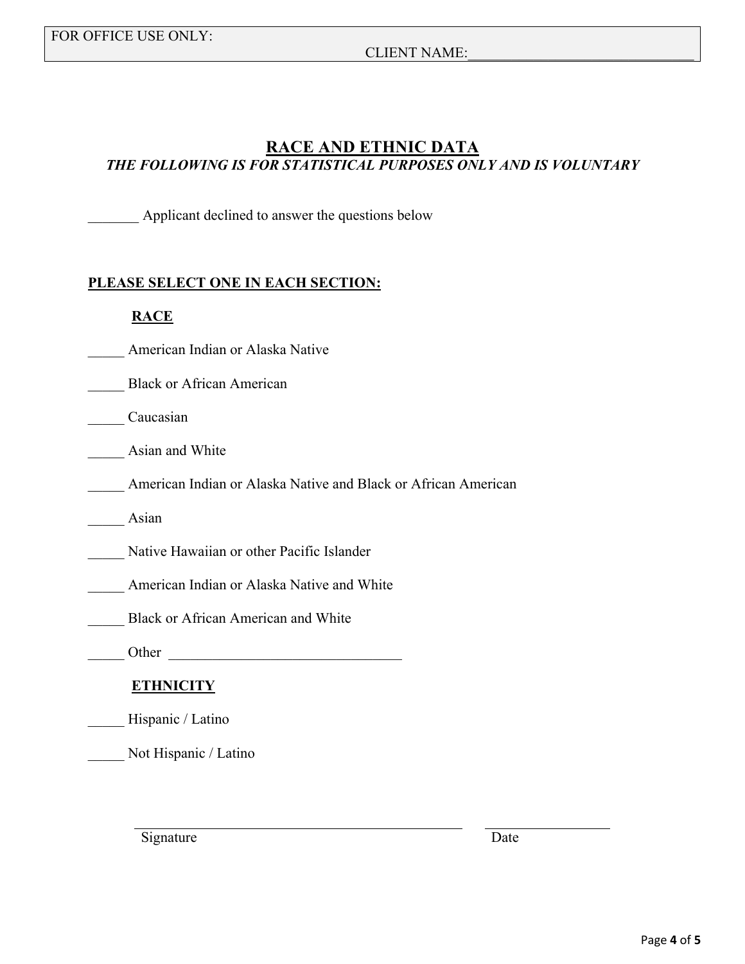### CLIENT NAME:

## **RACE AND ETHNIC DATA** *THE FOLLOWING IS FOR STATISTICAL PURPOSES ONLY AND IS VOLUNTARY*

Applicant declined to answer the questions below

### **PLEASE SELECT ONE IN EACH SECTION:**

### **RACE**

- \_\_\_\_\_ American Indian or Alaska Native
- Black or African American
- \_\_\_\_\_ Caucasian
- Asian and White
	- \_\_\_\_\_ American Indian or Alaska Native and Black or African American
- Asian
- Native Hawaiian or other Pacific Islander
- \_\_\_\_\_ American Indian or Alaska Native and White
- \_\_\_\_\_ Black or African American and White
- $\bullet$  Other  $\qquad \qquad$

## **ETHNICITY**

- Hispanic / Latino
- \_\_\_\_\_ Not Hispanic / Latino

Signature Date